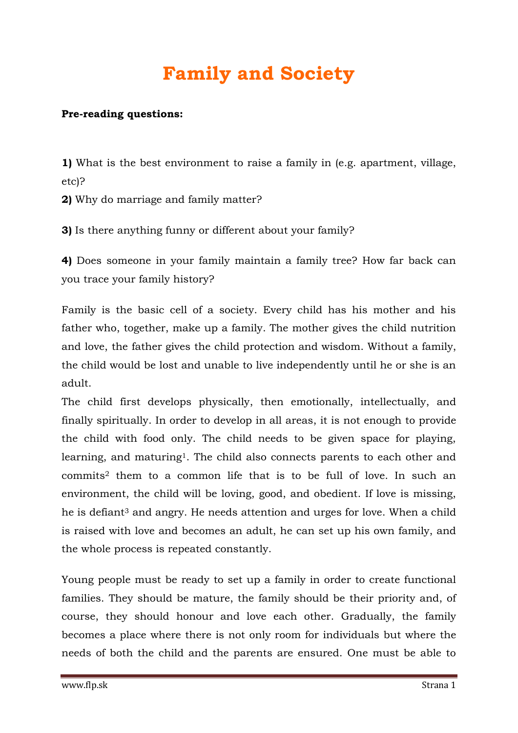## **Family and Society**

## **Pre-reading questions:**

**1)** What is the best environment to raise a family in (e.g. apartment, village, etc)?

**2)** Why do marriage and family matter?

**3)** Is there anything funny or different about your family?

**4)** Does someone in your family maintain a family tree? How far back can you trace your family history?

Family is the basic cell of a society. Every child has his mother and his father who, together, make up a family. The mother gives the child nutrition and love, the father gives the child protection and wisdom. Without a family, the child would be lost and unable to live independently until he or she is an adult.

The child first develops physically, then emotionally, intellectually, and finally spiritually. In order to develop in all areas, it is not enough to provide the child with food only. The child needs to be given space for playing, learning, and maturing1. The child also connects parents to each other and commits<sup>2</sup> them to a common life that is to be full of love. In such an environment, the child will be loving, good, and obedient. If love is missing, he is defiant<sup>3</sup> and angry. He needs attention and urges for love. When a child is raised with love and becomes an adult, he can set up his own family, and the whole process is repeated constantly.

Young people must be ready to set up a family in order to create functional families. They should be mature, the family should be their priority and, of course, they should honour and love each other. Gradually, the family becomes a place where there is not only room for individuals but where the needs of both the child and the parents are ensured. One must be able to